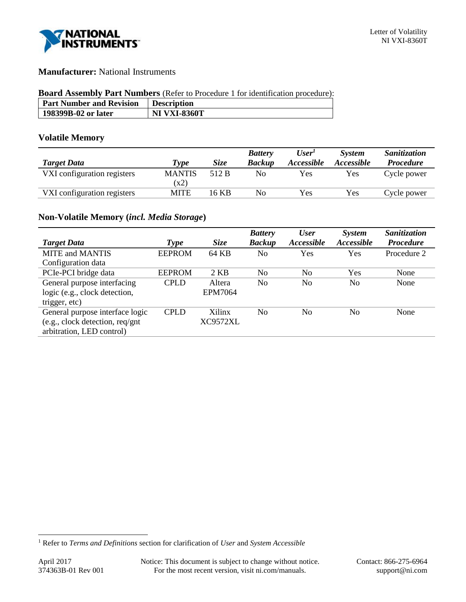

# **Manufacturer:** National Instruments

#### **Board Assembly Part Numbers** (Refer to Procedure 1 for identification procedure):

| <b>Part Number and Revision</b> | <b>Description</b>  |
|---------------------------------|---------------------|
| 198399B-02 or later             | <b>NI VXI-8360T</b> |

## **Volatile Memory**

|                             |               |             | <b>Battery</b> | User <sup>T</sup> | <b>System</b>     | Sanitization     |
|-----------------------------|---------------|-------------|----------------|-------------------|-------------------|------------------|
| <b>Target Data</b>          | <b>Type</b>   | <b>Size</b> | <b>Backup</b>  | Accessible        | <i>Accessible</i> | <b>Procedure</b> |
| VXI configuration registers | <b>MANTIS</b> | 512 B       | No             | Yes               | Yes               | Cycle power      |
|                             | (x2)          |             |                |                   |                   |                  |
| VXI configuration registers | <b>MITE</b>   | 16 KB       | No             | Yes               | Yes               | Cycle power      |

# **Non-Volatile Memory (***incl. Media Storage***)**

|                                 |               |                | <b>Battery</b> | <b>User</b>    | <i>System</i> | Sanitization     |
|---------------------------------|---------------|----------------|----------------|----------------|---------------|------------------|
| <b>Target Data</b>              | Type          | <b>Size</b>    | <b>Backup</b>  | Accessible     | Accessible    | <b>Procedure</b> |
| <b>MITE</b> and <b>MANTIS</b>   | <b>EEPROM</b> | 64 KB          | No             | Yes            | <b>Yes</b>    | Procedure 2      |
| Configuration data              |               |                |                |                |               |                  |
| PCIe-PCI bridge data            | <b>EEPROM</b> | 2 KB           | N <sub>0</sub> | No             | Yes           | None             |
| General purpose interfacing     | <b>CPLD</b>   | Altera         | No             | No             | No            | None             |
| logic (e.g., clock detection,   |               | <b>EPM7064</b> |                |                |               |                  |
| trigger, etc)                   |               |                |                |                |               |                  |
| General purpose interface logic | <b>CPLD</b>   | Xilinx         | N <sub>0</sub> | N <sub>0</sub> | No.           | None             |
| (e.g., clock detection, req/gnt |               | XC9572XL       |                |                |               |                  |
| arbitration, LED control)       |               |                |                |                |               |                  |

l

<sup>1</sup> Refer to *Terms and Definitions* section for clarification of *User* and *System Accessible*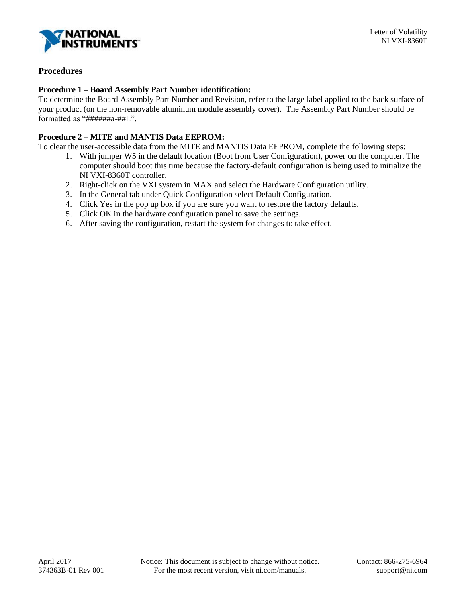

# **Procedures**

## **Procedure 1 – Board Assembly Part Number identification:**

To determine the Board Assembly Part Number and Revision, refer to the large label applied to the back surface of your product (on the non-removable aluminum module assembly cover). The Assembly Part Number should be formatted as "######a-##L".

## **Procedure 2 – MITE and MANTIS Data EEPROM:**

To clear the user-accessible data from the MITE and MANTIS Data EEPROM, complete the following steps:

- 1. With jumper W5 in the default location (Boot from User Configuration), power on the computer. The computer should boot this time because the factory-default configuration is being used to initialize the NI VXI-8360T controller.
- 2. Right-click on the VXI system in MAX and select the Hardware Configuration utility.
- 3. In the General tab under Quick Configuration select Default Configuration.
- 4. Click Yes in the pop up box if you are sure you want to restore the factory defaults.
- 5. Click OK in the hardware configuration panel to save the settings.
- 6. After saving the configuration, restart the system for changes to take effect.